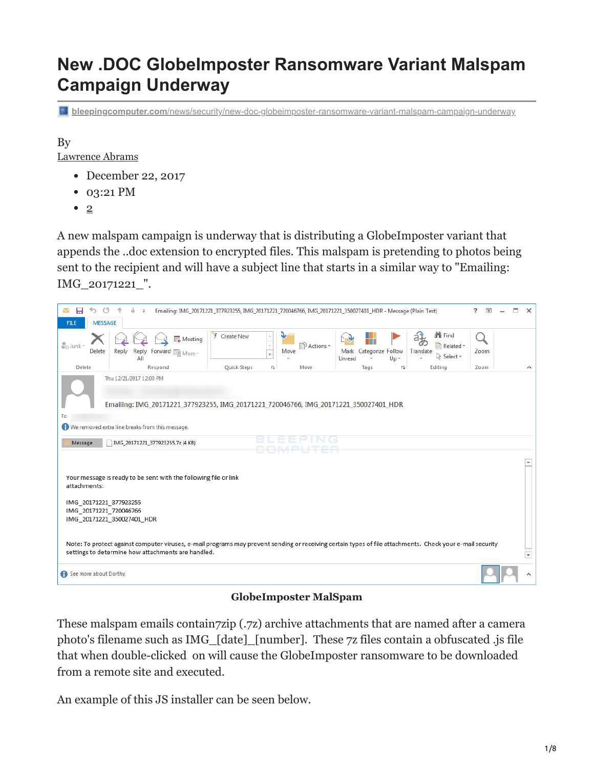# **New .DOC GlobeImposter Ransomware Variant Malspam Campaign Underway**

**bleepingcomputer.com**[/news/security/new-doc-globeimposter-ransomware-variant-malspam-campaign-underway](https://www.bleepingcomputer.com/news/security/new-doc-globeimposter-ransomware-variant-malspam-campaign-underway/)

By

[Lawrence Abrams](https://www.bleepingcomputer.com/author/lawrence-abrams/)

- December 22, 2017
- 03:21 PM
- $\bullet$  2

A new malspam campaign is underway that is distributing a GlobeImposter variant that appends the ..doc extension to encrypted files. This malspam is pretending to photos being sent to the recipient and will have a subject line that starts in a similar way to "Emailing: IMG\_20171221\_".

| 日<br><b>FILE</b>                                                                                                                                                                                                | <b>MESSAGE</b> |       |                         |         |                                   |  |  |              |                          |                          |      | Emailing: IMG_20171221_377923255, IMG_20171221_720046766, IMG_20171221_350027401_HDR - Message (Plain Text) |        |                        |        |           |                                          | 2.<br>$\overline{A}$ | $\Box$ | $\times$ |
|-----------------------------------------------------------------------------------------------------------------------------------------------------------------------------------------------------------------|----------------|-------|-------------------------|---------|-----------------------------------|--|--|--------------|--------------------------|--------------------------|------|-------------------------------------------------------------------------------------------------------------|--------|------------------------|--------|-----------|------------------------------------------|----------------------|--------|----------|
| alo Junk -                                                                                                                                                                                                      | Delete         | Reply | All                     |         | Meeting<br>Reply Forward EII More |  |  | F Create New |                          | $\overline{\phantom{a}}$ | Move | ी <sup>3</sup> Actions *                                                                                    | Unread | Mark Categorize Follow | $Up -$ | Translate | <b>A</b> Find<br>Related *<br>R Select * | Zoom                 |        |          |
| Delete                                                                                                                                                                                                          |                |       |                         | Respond |                                   |  |  | Quick Steps  |                          | 辰                        |      | Move                                                                                                        |        | Tags                   | 反      |           | Editing                                  | Zoom                 |        | ᄉ        |
| To<br><sup>1</sup> We removed extra line breaks from this message.<br>Message                                                                                                                                   |                |       | Thu 12/21/2017 12:00 PM |         | IMG 20171221 377923255.7z (4 KB)  |  |  |              |                          |                          |      | Emailing: IMG_20171221_377923255, IMG_20171221_720046766, IMG_20171221_350027401_HDR                        |        |                        |        |           |                                          |                      |        |          |
| Your message is ready to be sent with the following file or link<br>attachments:<br>IMG 20171221 377923255<br>IMG 20171221 720046766<br>IMG 20171221 350027401 HDR                                              |                |       |                         |         |                                   |  |  |              |                          |                          |      |                                                                                                             |        |                        |        |           |                                          |                      |        |          |
| Note: To protect against computer viruses, e-mail programs may prevent sending or receiving certain types of file attachments. Check your e-mail security<br>settings to determine how attachments are handled. |                |       |                         |         |                                   |  |  |              | $\overline{\phantom{a}}$ |                          |      |                                                                                                             |        |                        |        |           |                                          |                      |        |          |
| See more about Dorthy.                                                                                                                                                                                          |                |       |                         |         |                                   |  |  |              |                          |                          |      |                                                                                                             |        |                        |        |           |                                          |                      |        |          |

#### **GlobeImposter MalSpam**

These malspam emails contain7zip (.7z) archive attachments that are named after a camera photo's filename such as IMG\_[date]\_[number]. These 7z files contain a obfuscated .js file that when double-clicked on will cause the GlobeImposter ransomware to be downloaded from a remote site and executed.

An example of this JS installer can be seen below.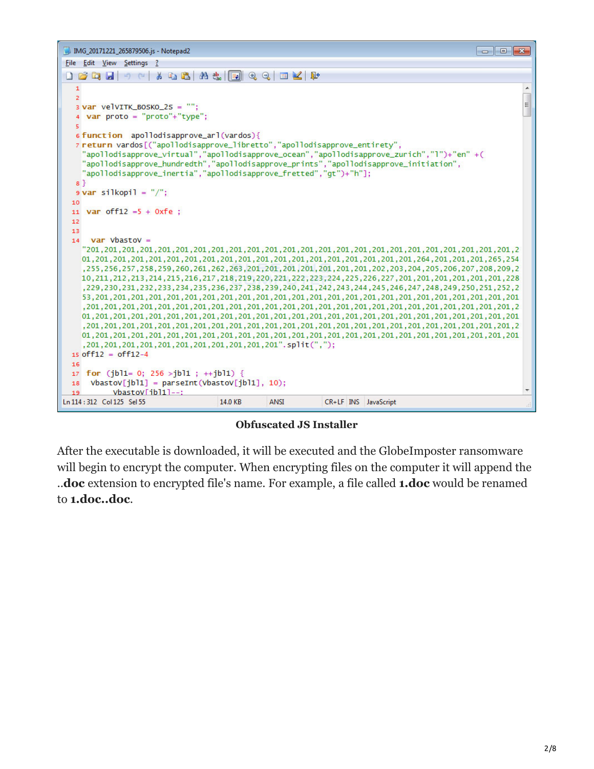

**Obfuscated JS Installer**

After the executable is downloaded, it will be executed and the GlobeImposter ransomware will begin to encrypt the computer. When encrypting files on the computer it will append the ..**doc** extension to encrypted file's name. For example, a file called **1.doc** would be renamed to **1.doc..doc**.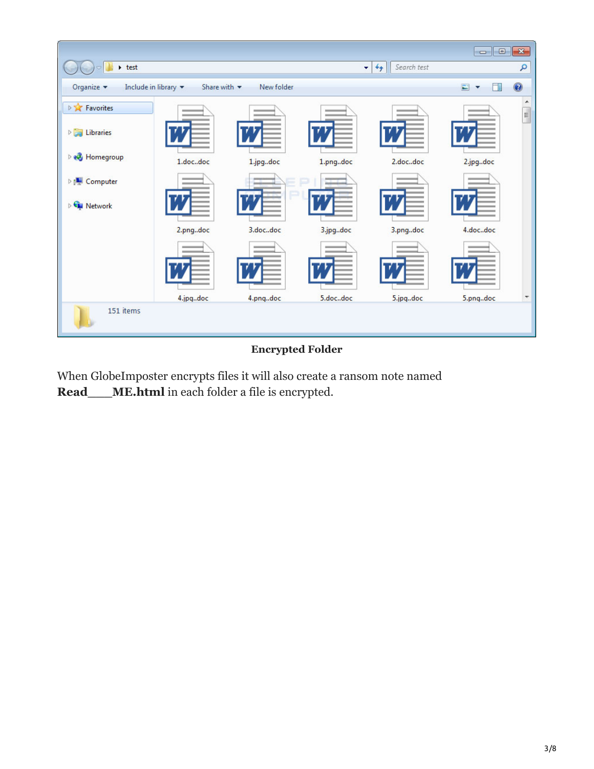| $ \cdot$ test                                         |                                 |            |          | Search test<br>$^{+}$<br>٠ |                  | ٩                        |
|-------------------------------------------------------|---------------------------------|------------|----------|----------------------------|------------------|--------------------------|
| Include in library $\blacktriangledown$<br>Organize v | Share with $\blacktriangledown$ | New folder |          |                            | $\Box$<br>$\Box$ | $\bullet$                |
| <b>DE Favorites</b>                                   |                                 |            |          |                            |                  | ۸<br>E                   |
| $\triangleright$ $\blacksquare$ Libraries             |                                 |            |          |                            |                  |                          |
| <b>B</b> Homegroup                                    | 1.docdoc                        | 1.jpgdoc   | 1.pngdoc | 2.docdoc                   | 2.jpgdoc         |                          |
| <b>Delle Computer</b>                                 |                                 |            |          |                            |                  |                          |
| Retwork                                               |                                 |            |          |                            |                  |                          |
|                                                       | 2.pngdoc                        | 3.docdoc   | 3.jpgdoc | 3.pngdoc                   | 4.docdoc         |                          |
|                                                       |                                 |            |          |                            |                  |                          |
|                                                       |                                 |            |          |                            |                  |                          |
|                                                       | 4.jpgdoc                        | 4.pngdoc   | 5.docdoc | 5.jpgdoc                   | 5.pngdoc         | $\overline{\phantom{a}}$ |
| 151 items                                             |                                 |            |          |                            |                  |                          |

### **Encrypted Folder**

When GlobeImposter encrypts files it will also create a ransom note named **Read\_\_\_ME.html** in each folder a file is encrypted.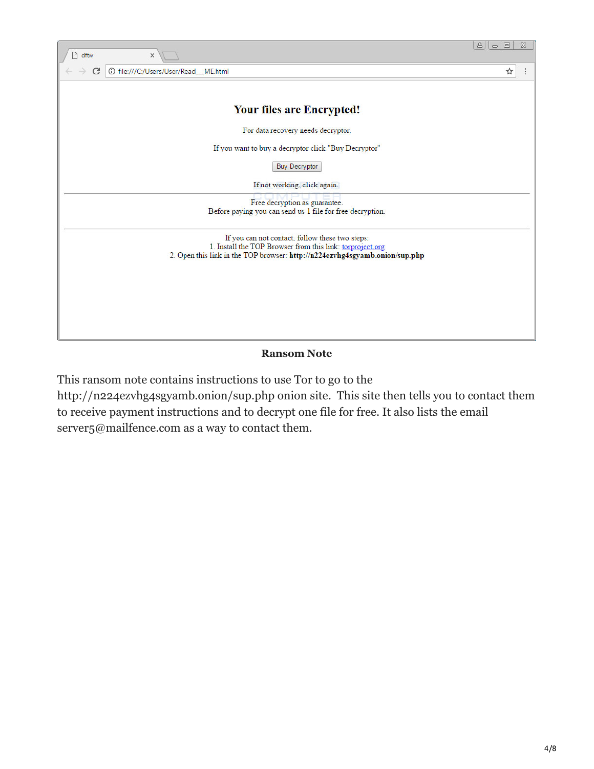

### **Ransom Note**

This ransom note contains instructions to use Tor to go to the

http://n224ezvhg4sgyamb.onion/sup.php onion site. This site then tells you to contact them to receive payment instructions and to decrypt one file for free. It also lists the email server<sub>5</sub>@mailfence.com as a way to contact them.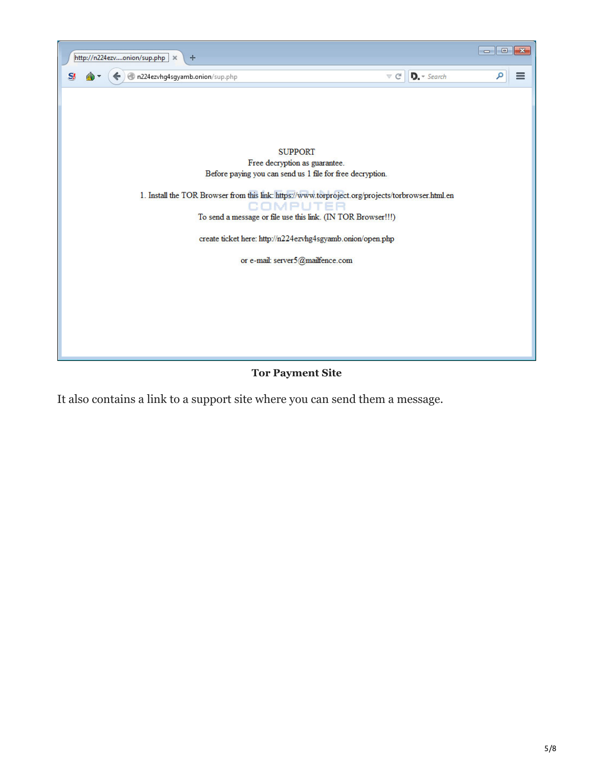

**Tor Payment Site**

It also contains a link to a support site where you can send them a message.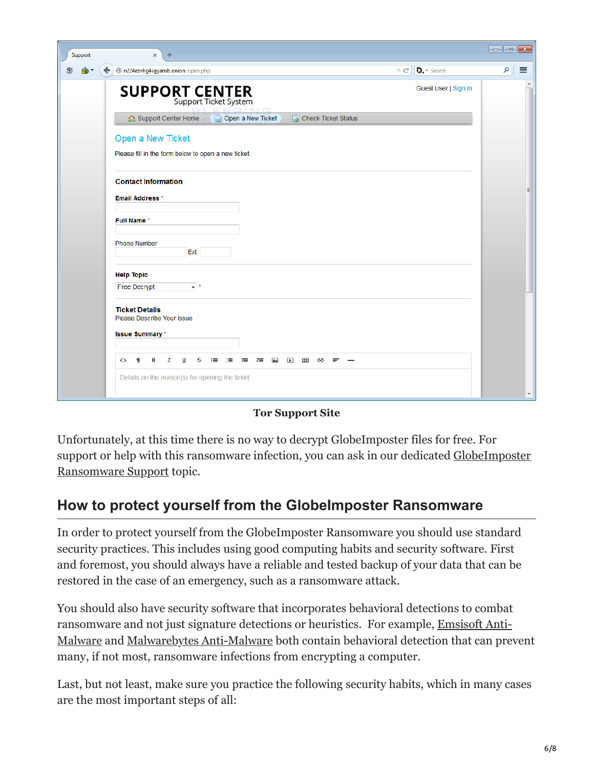| Support  | $\mathsf{x}$<br>$+$                                                                                         |                          |
|----------|-------------------------------------------------------------------------------------------------------------|--------------------------|
| SĮ.<br>困 | $D. - Search$<br>$\mathcal{L} \subset \mathbb{C}^n$<br>n224ezvhg4sgyamb.onion/open.php<br>←                 | ام<br>$\equiv$           |
|          | Guest User   Sign In<br><b>SUPPORT CENTER</b><br>Support Ticket System                                      | $\blacktriangle$         |
|          | Open a New Ticket<br>Support Center Home<br>Check Ticket Status                                             |                          |
|          | Open a New Ticket<br>Please fill in the form below to open a new ticket.                                    |                          |
|          | <b>Contact Information</b><br><b>Email Address*</b>                                                         |                          |
|          | <b>Full Name*</b><br><b>Phone Number</b>                                                                    |                          |
|          | Ext:<br><b>Help Topic</b>                                                                                   |                          |
|          | Free Decrypt<br>$\bullet$ <sup>*</sup>                                                                      |                          |
|          | <b>Ticket Details</b><br>Please Describe Your Issue<br><b>Issue Summary</b> *                               |                          |
|          | <b>T</b><br>B<br>I<br>U<br>田<br>$\leftrightarrow$<br>s<br>法法律 建二碘<br>$\sum_{i=1}^{n}$<br>$\mathbf{P}$<br>GD |                          |
|          | Details on the reason(s) for opening the ticket.                                                            | $\overline{\phantom{a}}$ |

**Tor Support Site**

Unfortunately, at this time there is no way to decrypt GlobeImposter files for free. For [support or help with this ransomware infection, you can ask in our dedicated GlobeImposter](https://www.bleepingcomputer.com/forums/t/644166/globeimposter-crypt-pscrypt-ext-back-fileshtml-ransomware-support/) Ransomware Support topic.

## **How to protect yourself from the GlobeImposter Ransomware**

In order to protect yourself from the GlobeImposter Ransomware you should use standard security practices. This includes using good computing habits and security software. First and foremost, you should always have a reliable and tested backup of your data that can be restored in the case of an emergency, such as a ransomware attack.

You should also have security software that incorporates behavioral detections to combat ransomware and not just signature detections or heuristics. For example, Emsisoft Anti-[Malware and Malwarebytes Anti-Malware both contain behavioral detection that can pre](https://www.bleepingcomputer.com/download/emsisoft-anti-malware/)vent many, if not most, ransomware infections from encrypting a computer.

Last, but not least, make sure you practice the following security habits, which in many cases are the most important steps of all: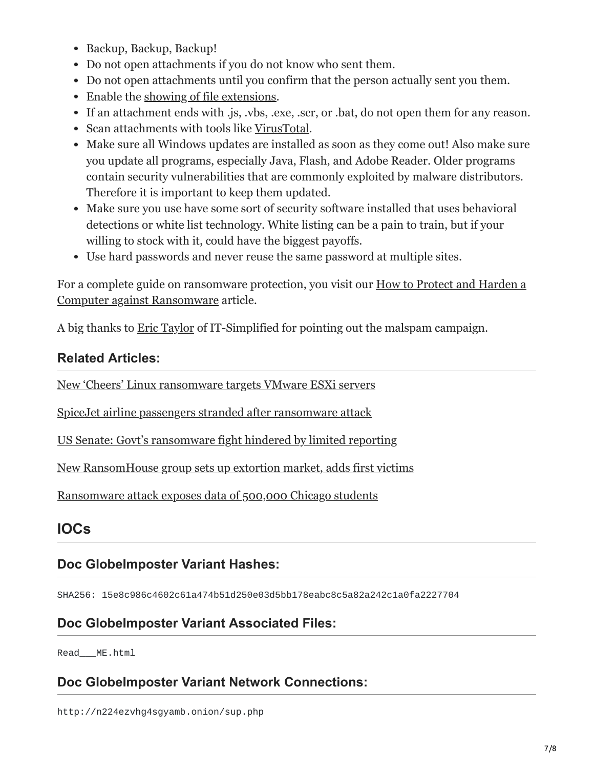- Backup, Backup, Backup!
- Do not open attachments if you do not know who sent them.
- Do not open attachments until you confirm that the person actually sent you them.
- Enable the [showing of file extensions.](https://www.bleepingcomputer.com/tutorials/how-to-show-file-extensions-in-windows/)
- If an attachment ends with .js, .vbs, .exe, .scr, or .bat, do not open them for any reason.
- Scan attachments with tools like [VirusTotal.](https://www.virustotal.com/#/home/upload)
- Make sure all Windows updates are installed as soon as they come out! Also make sure you update all programs, especially Java, Flash, and Adobe Reader. Older programs contain security vulnerabilities that are commonly exploited by malware distributors. Therefore it is important to keep them updated.
- Make sure you use have some sort of security software installed that uses behavioral detections or white list technology. White listing can be a pain to train, but if your willing to stock with it, could have the biggest payoffs.
- Use hard passwords and never reuse the same password at multiple sites.

[For a complete guide on ransomware protection, you visit our How to Protect and Harden a](https://www.bleepingcomputer.com/news/security/how-to-protect-and-harden-a-computer-against-ransomware/) Computer against Ransomware article.

A big thanks to [Eric Taylor](https://twitter.com/ITSimplifie) of IT-Simplified for pointing out the malspam campaign.

## **Related Articles:**

[New 'Cheers' Linux ransomware targets VMware ESXi servers](https://www.bleepingcomputer.com/news/security/new-cheers-linux-ransomware-targets-vmware-esxi-servers/)

[SpiceJet airline passengers stranded after ransomware attack](https://www.bleepingcomputer.com/news/security/spicejet-airline-passengers-stranded-after-ransomware-attack/)

[US Senate: Govt's ransomware fight hindered by limited reporting](https://www.bleepingcomputer.com/news/security/us-senate-govt-s-ransomware-fight-hindered-by-limited-reporting/)

[New RansomHouse group sets up extortion market, adds first victims](https://www.bleepingcomputer.com/news/security/new-ransomhouse-group-sets-up-extortion-market-adds-first-victims/)

[Ransomware attack exposes data of 500,000 Chicago students](https://www.bleepingcomputer.com/news/security/ransomware-attack-exposes-data-of-500-000-chicago-students/)

## **IOCs**

## **Doc GlobeImposter Variant Hashes:**

SHA256: 15e8c986c4602c61a474b51d250e03d5bb178eabc8c5a82a242c1a0fa2227704

## **Doc GlobeImposter Variant Associated Files:**

Read\_\_\_ME.html

## **Doc GlobeImposter Variant Network Connections:**

http://n224ezvhg4sgyamb.onion/sup.php